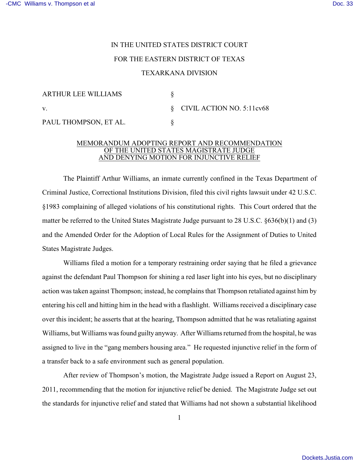## IN THE UNITED STATES DISTRICT COURT FOR THE EASTERN DISTRICT OF TEXAS

## TEXARKANA DIVISION

| ARTHUR LEE WILLIAMS   |                                          |
|-----------------------|------------------------------------------|
| $\mathbf{V}$ .        | $\S$ CIVIL ACTION NO. 5:11 $\text{cv68}$ |
| PAUL THOMPSON, ET AL. |                                          |

## MEMORANDUM ADOPTING REPORT AND RECOMMENDATION OF THE UNITED STATES MAGISTRATE JUDGE AND DENYING MOTION FOR INJUNCTIVE RELIEF

The Plaintiff Arthur Williams, an inmate currently confined in the Texas Department of Criminal Justice, Correctional Institutions Division, filed this civil rights lawsuit under 42 U.S.C. §1983 complaining of alleged violations of his constitutional rights. This Court ordered that the matter be referred to the United States Magistrate Judge pursuant to 28 U.S.C. §636(b)(1) and (3) and the Amended Order for the Adoption of Local Rules for the Assignment of Duties to United States Magistrate Judges.

Williams filed a motion for a temporary restraining order saying that he filed a grievance against the defendant Paul Thompson for shining a red laser light into his eyes, but no disciplinary action was taken against Thompson; instead, he complains that Thompson retaliated against him by entering his cell and hitting him in the head with a flashlight. Williams received a disciplinary case over this incident; he asserts that at the hearing, Thompson admitted that he was retaliating against Williams, but Williams was found guilty anyway. After Williams returned from the hospital, he was assigned to live in the "gang members housing area." He requested injunctive relief in the form of a transfer back to a safe environment such as general population.

After review of Thompson's motion, the Magistrate Judge issued a Report on August 23, 2011, recommending that the motion for injunctive relief be denied. The Magistrate Judge set out the standards for injunctive relief and stated that Williams had not shown a substantial likelihood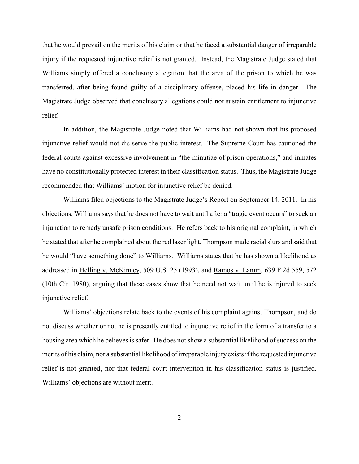that he would prevail on the merits of his claim or that he faced a substantial danger of irreparable injury if the requested injunctive relief is not granted. Instead, the Magistrate Judge stated that Williams simply offered a conclusory allegation that the area of the prison to which he was transferred, after being found guilty of a disciplinary offense, placed his life in danger. The Magistrate Judge observed that conclusory allegations could not sustain entitlement to injunctive relief.

In addition, the Magistrate Judge noted that Williams had not shown that his proposed injunctive relief would not dis-serve the public interest. The Supreme Court has cautioned the federal courts against excessive involvement in "the minutiae of prison operations," and inmates have no constitutionally protected interest in their classification status. Thus, the Magistrate Judge recommended that Williams' motion for injunctive relief be denied.

Williams filed objections to the Magistrate Judge's Report on September 14, 2011. In his objections, Williams says that he does not have to wait until after a "tragic event occurs" to seek an injunction to remedy unsafe prison conditions. He refers back to his original complaint, in which he stated that after he complained about the red laser light, Thompson made racial slurs and said that he would "have something done" to Williams. Williams states that he has shown a likelihood as addressed in Helling v. McKinney, 509 U.S. 25 (1993), and Ramos v. Lamm, 639 F.2d 559, 572 (10th Cir. 1980), arguing that these cases show that he need not wait until he is injured to seek injunctive relief.

Williams' objections relate back to the events of his complaint against Thompson, and do not discuss whether or not he is presently entitled to injunctive relief in the form of a transfer to a housing area which he believes is safer. He does not show a substantial likelihood of success on the merits of his claim, nor a substantial likelihood of irreparable injury exists if the requested injunctive relief is not granted, nor that federal court intervention in his classification status is justified. Williams' objections are without merit.